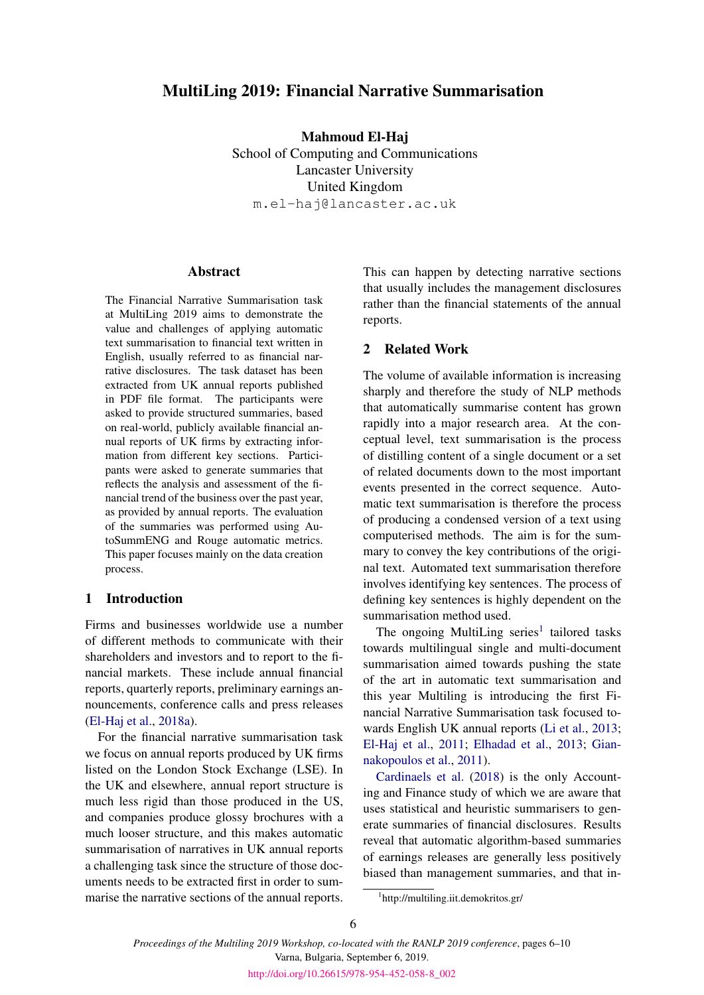# MultiLing 2019: Financial Narrative Summarisation

Mahmoud El-Haj School of Computing and Communications Lancaster University United Kingdom m.el-haj@lancaster.ac.uk

### Abstract

The Financial Narrative Summarisation task at MultiLing 2019 aims to demonstrate the value and challenges of applying automatic text summarisation to financial text written in English, usually referred to as financial narrative disclosures. The task dataset has been extracted from UK annual reports published in PDF file format. The participants were asked to provide structured summaries, based on real-world, publicly available financial annual reports of UK firms by extracting information from different key sections. Participants were asked to generate summaries that reflects the analysis and assessment of the financial trend of the business over the past year, as provided by annual reports. The evaluation of the summaries was performed using AutoSummENG and Rouge automatic metrics. This paper focuses mainly on the data creation process.

### 1 Introduction

Firms and businesses worldwide use a number of different methods to communicate with their shareholders and investors and to report to the financial markets. These include annual financial reports, quarterly reports, preliminary earnings announcements, conference calls and press releases [\(El-Haj et al.,](#page-3-0) [2018a\)](#page-3-0).

For the financial narrative summarisation task we focus on annual reports produced by UK firms listed on the London Stock Exchange (LSE). In the UK and elsewhere, annual report structure is much less rigid than those produced in the US, and companies produce glossy brochures with a much looser structure, and this makes automatic summarisation of narratives in UK annual reports a challenging task since the structure of those documents needs to be extracted first in order to summarise the narrative sections of the annual reports.

This can happen by detecting narrative sections that usually includes the management disclosures rather than the financial statements of the annual reports.

### 2 Related Work

The volume of available information is increasing sharply and therefore the study of NLP methods that automatically summarise content has grown rapidly into a major research area. At the conceptual level, text summarisation is the process of distilling content of a single document or a set of related documents down to the most important events presented in the correct sequence. Automatic text summarisation is therefore the process of producing a condensed version of a text using computerised methods. The aim is for the summary to convey the key contributions of the original text. Automated text summarisation therefore involves identifying key sentences. The process of defining key sentences is highly dependent on the summarisation method used.

The ongoing MultiLing series<sup>[1](#page-0-0)</sup> tailored tasks towards multilingual single and multi-document summarisation aimed towards pushing the state of the art in automatic text summarisation and this year Multiling is introducing the first Financial Narrative Summarisation task focused towards English UK annual reports [\(Li et al.,](#page-4-0) [2013;](#page-4-0) [El-Haj et al.,](#page-3-1) [2011;](#page-3-1) [Elhadad et al.,](#page-4-1) [2013;](#page-4-1) [Gian](#page-4-2)[nakopoulos et al.,](#page-4-2) [2011\)](#page-4-2).

[Cardinaels et al.](#page-3-2) [\(2018\)](#page-3-2) is the only Accounting and Finance study of which we are aware that uses statistical and heuristic summarisers to generate summaries of financial disclosures. Results reveal that automatic algorithm-based summaries of earnings releases are generally less positively biased than management summaries, and that in-

<span id="page-0-0"></span><sup>1</sup> http://multiling.iit.demokritos.gr/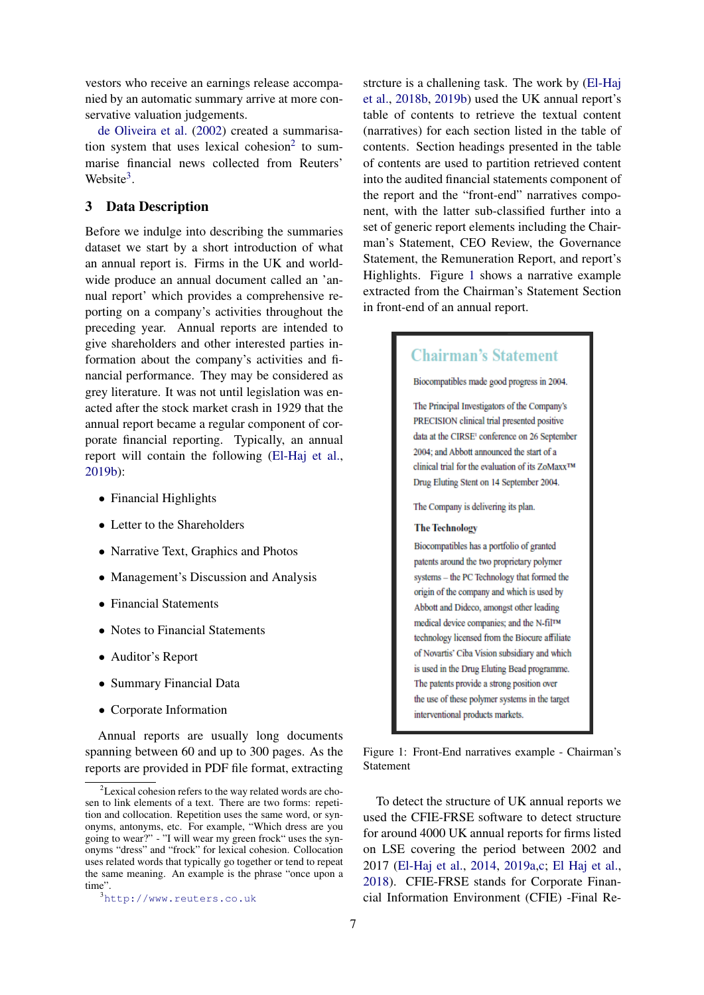vestors who receive an earnings release accompanied by an automatic summary arrive at more conservative valuation judgements.

[de Oliveira et al.](#page-4-3) [\(2002\)](#page-4-3) created a summarisa-tion system that uses lexical cohesion<sup>[2](#page-1-0)</sup> to summarise financial news collected from Reuters' Website<sup>[3](#page-1-1)</sup>.

## 3 Data Description

Before we indulge into describing the summaries dataset we start by a short introduction of what an annual report is. Firms in the UK and worldwide produce an annual document called an 'annual report' which provides a comprehensive reporting on a company's activities throughout the preceding year. Annual reports are intended to give shareholders and other interested parties information about the company's activities and financial performance. They may be considered as grey literature. It was not until legislation was enacted after the stock market crash in 1929 that the annual report became a regular component of corporate financial reporting. Typically, an annual report will contain the following [\(El-Haj et al.,](#page-3-3) [2019b\)](#page-3-3):

- Financial Highlights
- Letter to the Shareholders
- Narrative Text, Graphics and Photos
- Management's Discussion and Analysis
- Financial Statements
- Notes to Financial Statements
- Auditor's Report
- Summary Financial Data
- Corporate Information

Annual reports are usually long documents spanning between 60 and up to 300 pages. As the reports are provided in PDF file format, extracting

strcture is a challening task. The work by [\(El-Haj](#page-3-4) [et al.,](#page-3-4) [2018b,](#page-3-4) [2019b\)](#page-3-3) used the UK annual report's table of contents to retrieve the textual content (narratives) for each section listed in the table of contents. Section headings presented in the table of contents are used to partition retrieved content into the audited financial statements component of the report and the "front-end" narratives component, with the latter sub-classified further into a set of generic report elements including the Chairman's Statement, CEO Review, the Governance Statement, the Remuneration Report, and report's Highlights. Figure [1](#page-1-2) shows a narrative example extracted from the Chairman's Statement Section in front-end of an annual report.

## <span id="page-1-2"></span>**Chairman's Statement**

Biocompatibles made good progress in 2004.

The Principal Investigators of the Company's PRECISION clinical trial presented positive data at the CIRSE<sup>1</sup> conference on 26 September 2004: and Abbott announced the start of a clinical trial for the evaluation of its ZoMaxx<sup>TM</sup> Drug Eluting Stent on 14 September 2004.

The Company is delivering its plan.

#### **The Technology**

Biocompatibles has a portfolio of granted patents around the two proprietary polymer systems - the PC Technology that formed the origin of the company and which is used by Abbott and Dideco, amongst other leading medical device companies; and the N-filTM technology licensed from the Biocure affiliate of Novartis' Ciba Vision subsidiary and which is used in the Drug Eluting Bead programme. The patents provide a strong position over the use of these polymer systems in the target interventional products markets.

Figure 1: Front-End narratives example - Chairman's Statement

To detect the structure of UK annual reports we used the CFIE-FRSE software to detect structure for around 4000 UK annual reports for firms listed on LSE covering the period between 2002 and 2017 [\(El-Haj et al.,](#page-3-5) [2014,](#page-3-5) [2019a](#page-3-6)[,c;](#page-3-7) [El Haj et al.,](#page-3-8) [2018\)](#page-3-8). CFIE-FRSE stands for Corporate Financial Information Environment (CFIE) -Final Re-

<span id="page-1-0"></span> $2$ Lexical cohesion refers to the way related words are chosen to link elements of a text. There are two forms: repetition and collocation. Repetition uses the same word, or synonyms, antonyms, etc. For example, "Which dress are you going to wear?" - "I will wear my green frock" uses the synonyms "dress" and "frock" for lexical cohesion. Collocation uses related words that typically go together or tend to repeat the same meaning. An example is the phrase "once upon a time".

<span id="page-1-1"></span><sup>3</sup><http://www.reuters.co.uk>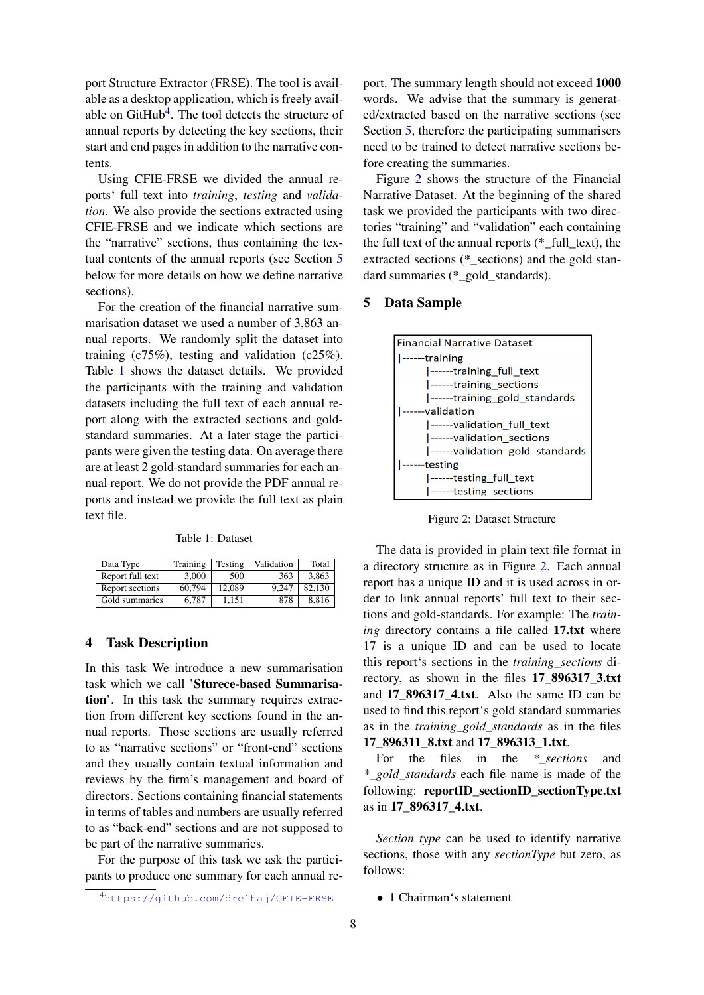port Structure Extractor (FRSE). The tool is available as a desktop application, which is freely available on  $G$ itHub<sup>[4](#page-2-0)</sup>. The tool detects the structure of annual reports by detecting the key sections, their start and end pages in addition to the narrative contents.

Using CFIE-FRSE we divided the annual reports' full text into *training*, *testing* and *validation*. We also provide the sections extracted using CFIE-FRSE and we indicate which sections are the "narrative" sections, thus containing the textual contents of the annual reports (see Section [5](#page-2-1) below for more details on how we define narrative sections).

For the creation of the financial narrative summarisation dataset we used a number of 3,863 annual reports. We randomly split the dataset into training (c75%), testing and validation (c25%). Table [1](#page-2-2) shows the dataset details. We provided the participants with the training and validation datasets including the full text of each annual report along with the extracted sections and goldstandard summaries. At a later stage the participants were given the testing data. On average there are at least 2 gold-standard summaries for each annual report. We do not provide the PDF annual reports and instead we provide the full text as plain text file.

Table 1: Dataset

<span id="page-2-2"></span>

| Data Type        | Training | Testing | Validation | Total  |
|------------------|----------|---------|------------|--------|
| Report full text | 3.000    | 500     | 363        | 3.863  |
| Report sections  | 60.794   | 12.089  | 9.247      | 82,130 |
| Gold summaries   | 6.787    | 1.151   | 878        | 8.816  |

#### 4 Task Description

In this task We introduce a new summarisation task which we call 'Sturece-based Summarisation'. In this task the summary requires extraction from different key sections found in the annual reports. Those sections are usually referred to as "narrative sections" or "front-end" sections and they usually contain textual information and reviews by the firm's management and board of directors. Sections containing financial statements in terms of tables and numbers are usually referred to as "back-end" sections and are not supposed to be part of the narrative summaries.

For the purpose of this task we ask the participants to produce one summary for each annual re-

<span id="page-2-0"></span><sup>4</sup><https://github.com/drelhaj/CFIE-FRSE>

port. The summary length should not exceed 1000 words. We advise that the summary is generated/extracted based on the narrative sections (see Section [5,](#page-2-1) therefore the participating summarisers need to be trained to detect narrative sections before creating the summaries.

Figure [2](#page-2-3) shows the structure of the Financial Narrative Dataset. At the beginning of the shared task we provided the participants with two directories "training" and "validation" each containing the full text of the annual reports  $(*_full_text)$ , the extracted sections (\*\_sections) and the gold standard summaries (\*\_gold\_standards).

### <span id="page-2-1"></span>5 Data Sample

<span id="page-2-3"></span>

Figure 2: Dataset Structure

The data is provided in plain text file format in a directory structure as in Figure [2.](#page-2-3) Each annual report has a unique ID and it is used across in order to link annual reports' full text to their sections and gold-standards. For example: The *training* directory contains a file called 17.txt where 17 is a unique ID and can be used to locate this report's sections in the *training\_sections* directory, as shown in the files 17\_896317\_3.txt and 17\_896317\_4.txt. Also the same ID can be used to find this report's gold standard summaries as in the *training\_gold\_standards* as in the files 17\_896311\_8.txt and 17\_896313\_1.txt.

For the files in the *\** sections and *\*\_gold\_standards* each file name is made of the following: reportID\_sectionID\_sectionType.txt as in 17\_896317\_4.txt.

*Section type* can be used to identify narrative sections, those with any *sectionType* but zero, as follows:

• 1 Chairman's statement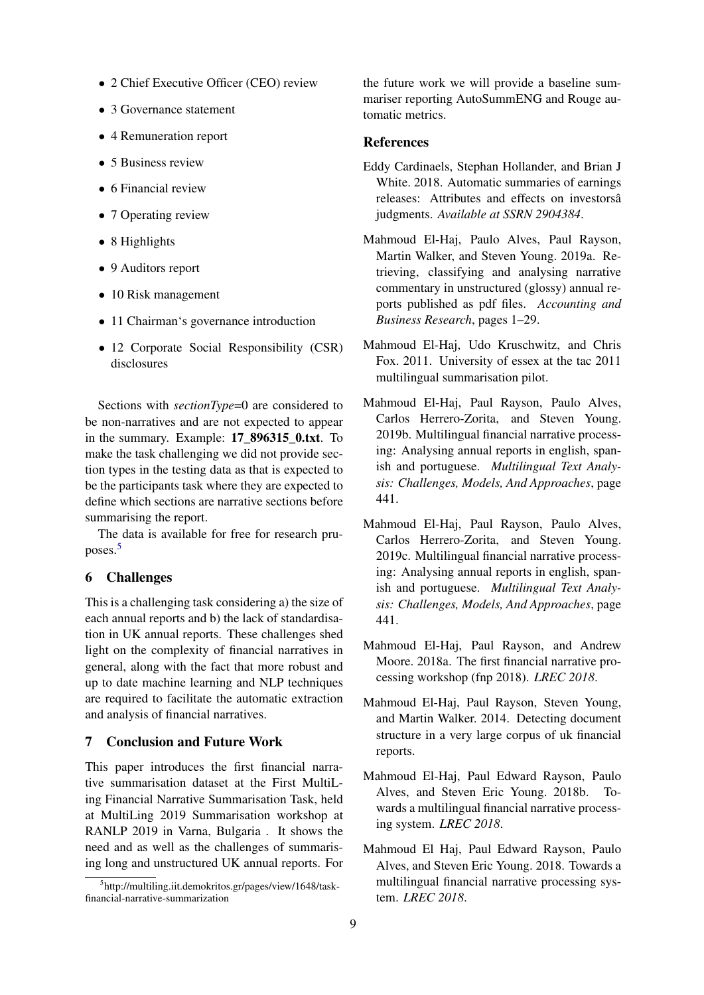- 2 Chief Executive Officer (CEO) review
- 3 Governance statement
- 4 Remuneration report
- 5 Business review
- 6 Financial review
- 7 Operating review
- 8 Highlights
- 9 Auditors report
- 10 Risk management
- 11 Chairman's governance introduction
- 12 Corporate Social Responsibility (CSR) disclosures

Sections with *sectionType*=0 are considered to be non-narratives and are not expected to appear in the summary. Example: 17\_896315\_0.txt. To make the task challenging we did not provide section types in the testing data as that is expected to be the participants task where they are expected to define which sections are narrative sections before summarising the report.

The data is available for free for research pruposes.[5](#page-3-9)

## 6 Challenges

This is a challenging task considering a) the size of each annual reports and b) the lack of standardisation in UK annual reports. These challenges shed light on the complexity of financial narratives in general, along with the fact that more robust and up to date machine learning and NLP techniques are required to facilitate the automatic extraction and analysis of financial narratives.

### 7 Conclusion and Future Work

This paper introduces the first financial narrative summarisation dataset at the First MultiLing Financial Narrative Summarisation Task, held at MultiLing 2019 Summarisation workshop at RANLP 2019 in Varna, Bulgaria . It shows the need and as well as the challenges of summarising long and unstructured UK annual reports. For the future work we will provide a baseline summariser reporting AutoSummENG and Rouge automatic metrics.

### **References**

- <span id="page-3-2"></span>Eddy Cardinaels, Stephan Hollander, and Brian J White. 2018. Automatic summaries of earnings releases: Attributes and effects on investorsâ judgments. *Available at SSRN 2904384*.
- <span id="page-3-6"></span>Mahmoud El-Haj, Paulo Alves, Paul Rayson, Martin Walker, and Steven Young. 2019a. Retrieving, classifying and analysing narrative commentary in unstructured (glossy) annual reports published as pdf files. *Accounting and Business Research*, pages 1–29.
- <span id="page-3-1"></span>Mahmoud El-Haj, Udo Kruschwitz, and Chris Fox. 2011. University of essex at the tac 2011 multilingual summarisation pilot.
- <span id="page-3-3"></span>Mahmoud El-Haj, Paul Rayson, Paulo Alves, Carlos Herrero-Zorita, and Steven Young. 2019b. Multilingual financial narrative processing: Analysing annual reports in english, spanish and portuguese. *Multilingual Text Analysis: Challenges, Models, And Approaches*, page 441.
- <span id="page-3-7"></span>Mahmoud El-Haj, Paul Rayson, Paulo Alves, Carlos Herrero-Zorita, and Steven Young. 2019c. Multilingual financial narrative processing: Analysing annual reports in english, spanish and portuguese. *Multilingual Text Analysis: Challenges, Models, And Approaches*, page 441.
- <span id="page-3-0"></span>Mahmoud El-Haj, Paul Rayson, and Andrew Moore. 2018a. The first financial narrative processing workshop (fnp 2018). *LREC 2018*.
- <span id="page-3-5"></span>Mahmoud El-Haj, Paul Rayson, Steven Young, and Martin Walker. 2014. Detecting document structure in a very large corpus of uk financial reports.
- <span id="page-3-4"></span>Mahmoud El-Haj, Paul Edward Rayson, Paulo Alves, and Steven Eric Young. 2018b. Towards a multilingual financial narrative processing system. *LREC 2018*.
- <span id="page-3-8"></span>Mahmoud El Haj, Paul Edward Rayson, Paulo Alves, and Steven Eric Young. 2018. Towards a multilingual financial narrative processing system. *LREC 2018*.

<span id="page-3-9"></span><sup>5</sup> http://multiling.iit.demokritos.gr/pages/view/1648/taskfinancial-narrative-summarization